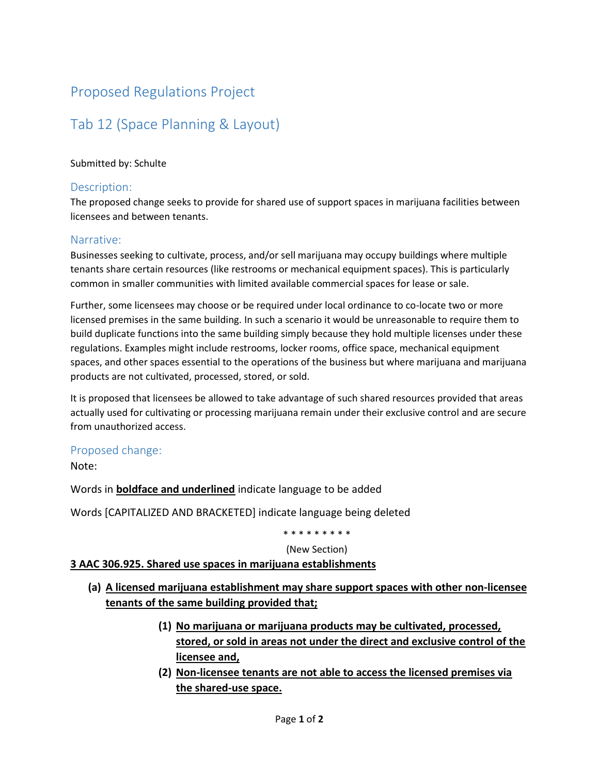## Proposed Regulations Project

# Tab 12 (Space Planning & Layout)

#### Submitted by: Schulte

#### Description:

The proposed change seeks to provide for shared use of support spaces in marijuana facilities between licensees and between tenants.

#### Narrative:

Businesses seeking to cultivate, process, and/or sell marijuana may occupy buildings where multiple tenants share certain resources (like restrooms or mechanical equipment spaces). This is particularly common in smaller communities with limited available commercial spaces for lease or sale.

Further, some licensees may choose or be required under local ordinance to co-locate two or more licensed premises in the same building. In such a scenario it would be unreasonable to require them to build duplicate functions into the same building simply because they hold multiple licenses under these regulations. Examples might include restrooms, locker rooms, office space, mechanical equipment spaces, and other spaces essential to the operations of the business but where marijuana and marijuana products are not cultivated, processed, stored, or sold.

It is proposed that licensees be allowed to take advantage of such shared resources provided that areas actually used for cultivating or processing marijuana remain under their exclusive control and are secure from unauthorized access.

### Proposed change:

Note:

Words in **boldface and underlined** indicate language to be added

Words [CAPITALIZED AND BRACKETED] indicate language being deleted

#### \* \* \* \* \* \* \* \* \*

#### (New Section)

### **3 AAC 306.925. Shared use spaces in marijuana establishments**

- **(a) A licensed marijuana establishment may share support spaces with other non-licensee tenants of the same building provided that;**
	- **(1) No marijuana or marijuana products may be cultivated, processed, stored, or sold in areas not under the direct and exclusive control of the licensee and,**
	- **(2) Non-licensee tenants are not able to access the licensed premises via the shared-use space.**